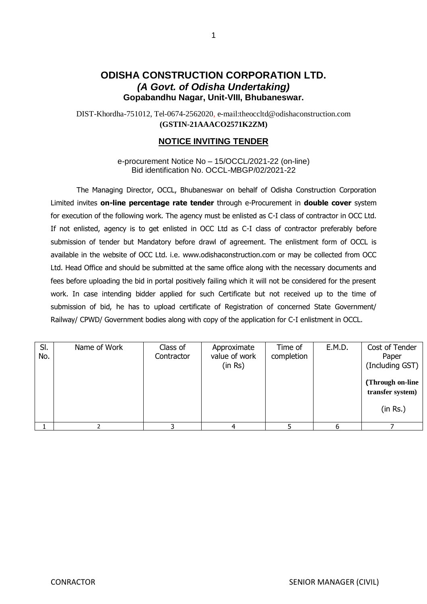## **ODISHA CONSTRUCTION CORPORATION LTD.** *(A Govt. of Odisha Undertaking)* **Gopabandhu Nagar, Unit-VIII, Bhubaneswar.**

DIST-Khordha-751012, Tel-0674-2562020, e-mail:theoccltd@odishaconstruction.com **(GSTIN-21AAACO2571K2ZM)**

### **NOTICE INVITING TENDER**

e-procurement Notice No – 15/OCCL/2021-22 (on-line) Bid identification No. OCCL-MBGP/02/2021-22

The Managing Director, OCCL, Bhubaneswar on behalf of Odisha Construction Corporation Limited invites **on-line percentage rate tender** through e-Procurement in **double cover** system for execution of the following work. The agency must be enlisted as C-I class of contractor in OCC Ltd. If not enlisted, agency is to get enlisted in OCC Ltd as C-I class of contractor preferably before submission of tender but Mandatory before drawl of agreement. The enlistment form of OCCL is available in the website of OCC Ltd. i.e. www.odishaconstruction.com or may be collected from OCC Ltd. Head Office and should be submitted at the same office along with the necessary documents and fees before uploading the bid in portal positively failing which it will not be considered for the present work. In case intending bidder applied for such Certificate but not received up to the time of submission of bid, he has to upload certificate of Registration of concerned State Government/ Railway/ CPWD/ Government bodies along with copy of the application for C-I enlistment in OCCL.

| SI.<br>No. | Name of Work | Class of<br>Contractor | Approximate<br>value of work<br>(in Rs) | Time of<br>completion | E.M.D. | Cost of Tender<br>Paper<br>(Including GST)<br>(Through on-line<br>transfer system)<br>(in Rs.) |
|------------|--------------|------------------------|-----------------------------------------|-----------------------|--------|------------------------------------------------------------------------------------------------|
|            |              |                        |                                         |                       |        |                                                                                                |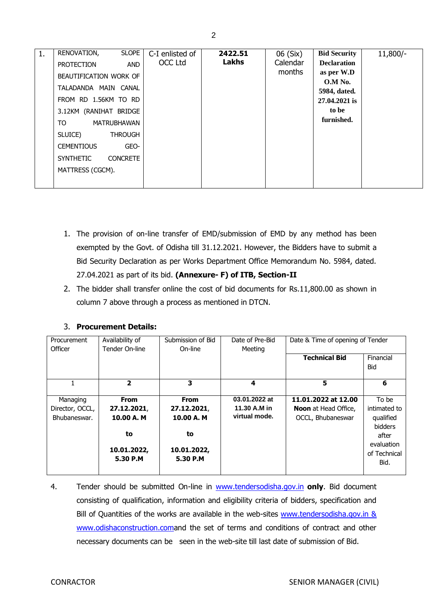|    | <b>SLOPE</b><br>RENOVATION,         |                 | 2422.51      |          | <b>Bid Security</b>       |            |
|----|-------------------------------------|-----------------|--------------|----------|---------------------------|------------|
| 1. |                                     | C-I enlisted of |              | 06 (Six) |                           | $11,800/-$ |
|    | AND<br><b>PROTECTION</b>            | OCC Ltd         | <b>Lakhs</b> | Calendar | <b>Declaration</b>        |            |
|    | BEAUTIFICATION WORK OF              |                 |              | months   | as per W.D                |            |
|    | TALADANDA MAIN CANAL                |                 |              |          | $0.M$ No.<br>5984, dated. |            |
|    | FROM RD 1.56KM TO RD                |                 |              |          | 27.04.2021 is             |            |
|    | 3.12KM (RANIHAT BRIDGE              |                 |              |          | to be                     |            |
|    | TO<br>MATRUBHAWAN                   |                 |              |          | furnished.                |            |
|    | SLUICE)<br><b>THROUGH</b>           |                 |              |          |                           |            |
|    | <b>CEMENTIOUS</b><br>GEO-           |                 |              |          |                           |            |
|    | <b>CONCRETE</b><br><b>SYNTHETIC</b> |                 |              |          |                           |            |
|    | MATTRESS (CGCM).                    |                 |              |          |                           |            |
|    |                                     |                 |              |          |                           |            |

- 1. The provision of on-line transfer of EMD/submission of EMD by any method has been exempted by the Govt. of Odisha till 31.12.2021. However, the Bidders have to submit a Bid Security Declaration as per Works Department Office Memorandum No. 5984, dated. 27.04.2021 as part of its bid. **(Annexure- F) of ITB, Section-II**
- 2. The bidder shall transfer online the cost of bid documents for Rs.11,800.00 as shown in column 7 above through a process as mentioned in DTCN.

| Procurement<br>Officer | Availability of<br>Tender On-line | Submission of Bid<br>On-line | Date of Pre-Bid<br>Meeting | Date & Time of opening of Tender |                  |
|------------------------|-----------------------------------|------------------------------|----------------------------|----------------------------------|------------------|
|                        |                                   |                              |                            | <b>Technical Bid</b>             | Financial<br>Bid |
|                        | $\overline{2}$                    | 3                            | 4                          | 5                                | 6                |
| Managing               | <b>From</b>                       | <b>From</b>                  | 03.01.2022 at              | 11.01.2022 at 12.00              | To be            |
| Director, OCCL,        | 27.12.2021,                       | 27.12.2021,                  | 11.30 A.M in               | <b>Noon</b> at Head Office,      | intimated to     |
| Bhubaneswar.           | 10.00 A. M                        | 10.00 A.M                    | virtual mode.              | OCCL, Bhubaneswar                | qualified        |
|                        |                                   |                              |                            |                                  | bidders          |
|                        | to                                | to                           |                            |                                  | after            |
|                        |                                   |                              |                            |                                  | evaluation       |
|                        | 10.01.2022,                       | 10.01.2022,                  |                            |                                  | of Technical     |
|                        | 5.30 P.M                          | 5.30 P.M                     |                            |                                  | Bid.             |
|                        |                                   |                              |                            |                                  |                  |

## 3. **Procurement Details:**

4. Tender should be submitted On-line in [www.tendersodisha.gov.in](http://www.tendersodisha.gov.in/) **only**. Bid document consisting of qualification, information and eligibility criteria of bidders, specification and Bill of Quantities of the works are available in the web-sites www.tendersodisha.gov.in & [www.odishaconstruction.coma](http://www.odishaconstruction.com/)nd the set of terms and conditions of contract and other necessary documents can be seen in the web-site till last date of submission of Bid.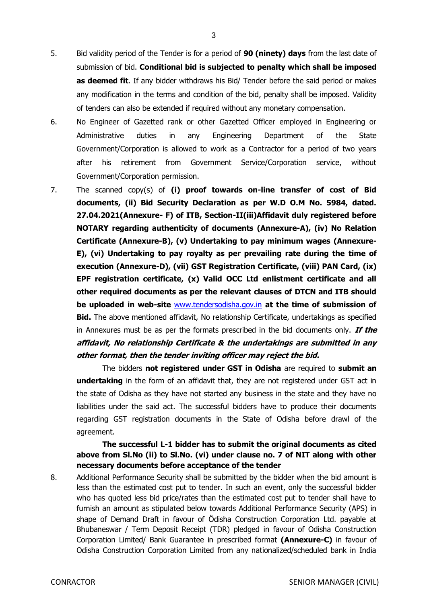- 5. Bid validity period of the Tender is for a period of **90 (ninety) days** from the last date of submission of bid. **Conditional bid is subjected to penalty which shall be imposed as deemed fit**. If any bidder withdraws his Bid/ Tender before the said period or makes any modification in the terms and condition of the bid, penalty shall be imposed. Validity of tenders can also be extended if required without any monetary compensation.
- 6. No Engineer of Gazetted rank or other Gazetted Officer employed in Engineering or Administrative duties in any Engineering Department of the State Government/Corporation is allowed to work as a Contractor for a period of two years after his retirement from Government Service/Corporation service, without Government/Corporation permission.
- 7. The scanned copy(s) of **(i) proof towards on-line transfer of cost of Bid documents, (ii) Bid Security Declaration as per W.D O.M No. 5984, dated. 27.04.2021(Annexure- F) of ITB, Section-II(iii)Affidavit duly registered before NOTARY regarding authenticity of documents (Annexure-A), (iv) No Relation Certificate (Annexure-B), (v) Undertaking to pay minimum wages (Annexure-E), (vi) Undertaking to pay royalty as per prevailing rate during the time of execution (Annexure-D), (vii) GST Registration Certificate, (viii) PAN Card, (ix) EPF registration certificate, (x) Valid OCC Ltd enlistment certificate and all other required documents as per the relevant clauses of DTCN and ITB should be uploaded in web-site** [www.tendersodisha.gov.in](http://www.tendersodisha.gov.in/) **at the time of submission of Bid.** The above mentioned affidavit, No relationship Certificate, undertakings as specified in Annexures must be as per the formats prescribed in the bid documents only. **If the affidavit, No relationship Certificate & the undertakings are submitted in any other format, then the tender inviting officer may reject the bid.**

The bidders **not registered under GST in Odisha** are required to **submit an undertaking** in the form of an affidavit that, they are not registered under GST act in the state of Odisha as they have not started any business in the state and they have no liabilities under the said act. The successful bidders have to produce their documents regarding GST registration documents in the State of Odisha before drawl of the agreement.

**The successful L-1 bidder has to submit the original documents as cited above from Sl.No (ii) to Sl.No. (vi) under clause no. 7 of NIT along with other necessary documents before acceptance of the tender**

8. Additional Performance Security shall be submitted by the bidder when the bid amount is less than the estimated cost put to tender. In such an event, only the successful bidder who has quoted less bid price/rates than the estimated cost put to tender shall have to furnish an amount as stipulated below towards Additional Performance Security (APS) in shape of Demand Draft in favour of Ödisha Construction Corporation Ltd. payable at Bhubaneswar / Term Deposit Receipt (TDR) pledged in favour of Odisha Construction Corporation Limited/ Bank Guarantee in prescribed format **(Annexure-C)** in favour of Odisha Construction Corporation Limited from any nationalized/scheduled bank in India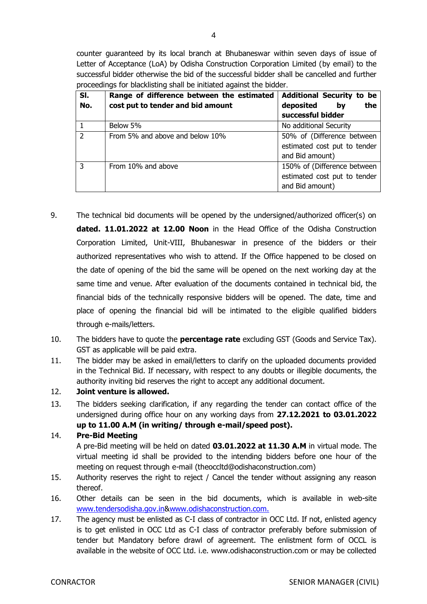counter guaranteed by its local branch at Bhubaneswar within seven days of issue of Letter of Acceptance (LoA) by Odisha Construction Corporation Limited (by email) to the successful bidder otherwise the bid of the successful bidder shall be cancelled and further proceedings for blacklisting shall be initiated against the bidder.

| SI.<br>No.     | Range of difference between the estimated<br>cost put to tender and bid amount | <b>Additional Security to be</b><br>the<br>bv |
|----------------|--------------------------------------------------------------------------------|-----------------------------------------------|
|                |                                                                                | deposited<br>successful bidder                |
|                | Below 5%                                                                       | No additional Security                        |
| $\overline{2}$ | From 5% and above and below 10%                                                | 50% of (Difference between                    |
|                |                                                                                | estimated cost put to tender                  |
|                |                                                                                | and Bid amount)                               |
| 3              | From 10% and above                                                             | 150% of (Difference between                   |
|                |                                                                                | estimated cost put to tender                  |
|                |                                                                                | and Bid amount)                               |

- 9. The technical bid documents will be opened by the undersigned/authorized officer(s) on **dated. 11.01.2022 at 12.00 Noon** in the Head Office of the Odisha Construction Corporation Limited, Unit-VIII, Bhubaneswar in presence of the bidders or their authorized representatives who wish to attend. If the Office happened to be closed on the date of opening of the bid the same will be opened on the next working day at the same time and venue. After evaluation of the documents contained in technical bid, the financial bids of the technically responsive bidders will be opened. The date, time and place of opening the financial bid will be intimated to the eligible qualified bidders through e-mails/letters.
- 10. The bidders have to quote the **percentage rate** excluding GST (Goods and Service Tax). GST as applicable will be paid extra.
- 11. The bidder may be asked in email/letters to clarify on the uploaded documents provided in the Technical Bid. If necessary, with respect to any doubts or illegible documents, the authority inviting bid reserves the right to accept any additional document.
- 12. **Joint venture is allowed.**
- 13. The bidders seeking clarification, if any regarding the tender can contact office of the undersigned during office hour on any working days from **27.12.2021 to 03.01.2022 up to 11.00 A.M (in writing/ through e-mail/speed post).**

#### 14. **Pre-Bid Meeting**

A pre-Bid meeting will be held on dated **03.01.2022 at 11.30 A.M** in virtual mode. The virtual meeting id shall be provided to the intending bidders before one hour of the meeting on request through e-mail (theoccltd@odishaconstruction.com)

- 15. Authority reserves the right to reject / Cancel the tender without assigning any reason thereof.
- 16. Other details can be seen in the bid documents, which is available in web-site [www.tendersodisha.gov.in&](http://www.tendersorissa.gov.in/)www.odishaconstruction.com.
- 17. The agency must be enlisted as C-I class of contractor in OCC Ltd. If not, enlisted agency is to get enlisted in OCC Ltd as C-I class of contractor preferably before submission of tender but Mandatory before drawl of agreement. The enlistment form of OCCL is available in the website of OCC Ltd. i.e. www.odishaconstruction.com or may be collected